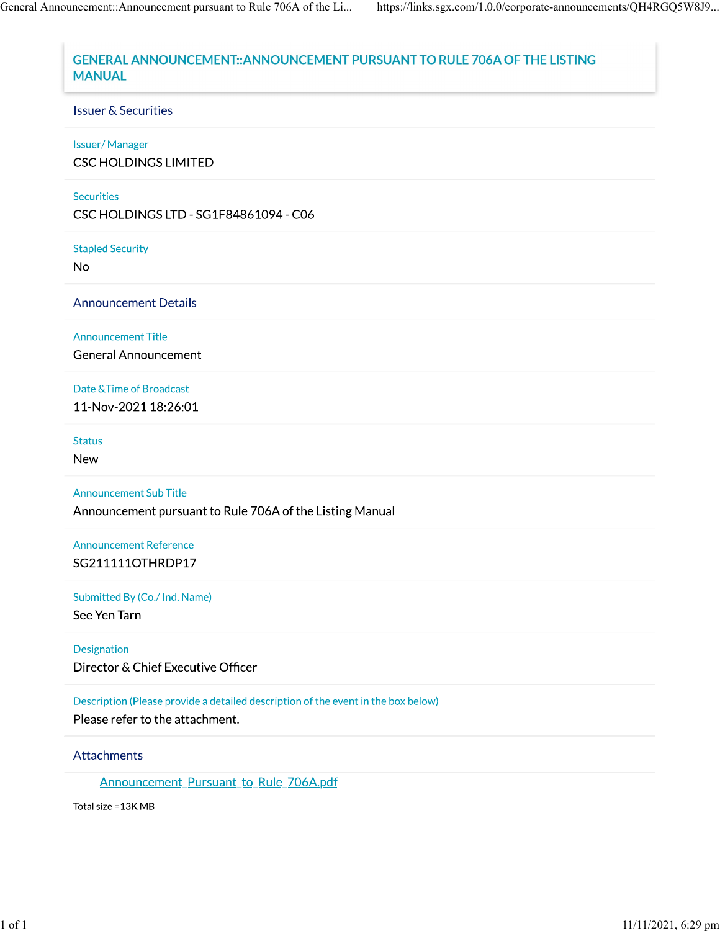# GENERAL ANNOUNCEMENT:: ANNOUNCEMENT PURSUANT TO RULE 706A OF THE LISTING **MANUAL**

### **Issuer & Securities**

#### **Issuer/Manager**

**CSC HOLDINGS LIMITED** 

#### **Securities**

CSC HOLDINGS LTD - SG1F84861094 - C06

**Stapled Security** 

**No** 

**Announcement Details** 

**Announcement Title** 

**General Announcement** 

Date & Time of Broadcast

11-Nov-2021 18:26:01

**Status** 

**New** 

**Announcement Sub Title** 

Announcement pursuant to Rule 706A of the Listing Manual

**Announcement Reference** SG211111OTHRDP17

Submitted By (Co./ Ind. Name)

See Yen Tarn

Designation Director & Chief Executive Officer

Description (Please provide a detailed description of the event in the box below)

Please refer to the attachment.

Attachments

Announcement\_Pursuant\_to\_Rule\_706A.pdf

Total size = 13K MB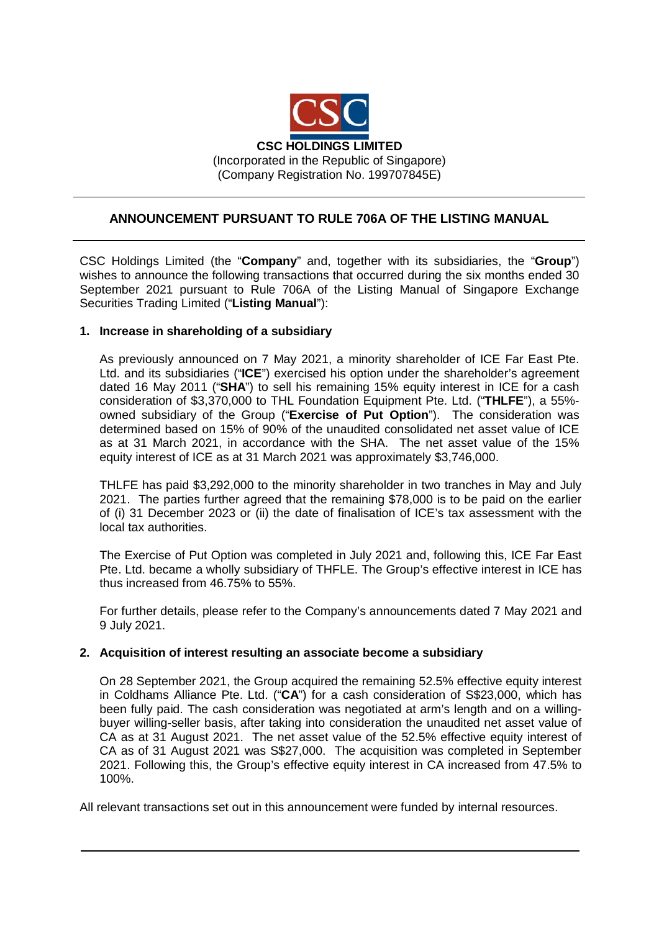

## **ANNOUNCEMENT PURSUANT TO RULE 706A OF THE LISTING MANUAL**

CSC Holdings Limited (the "**Company**" and, together with its subsidiaries, the "**Group**") wishes to announce the following transactions that occurred during the six months ended 30 September 2021 pursuant to Rule 706A of the Listing Manual of Singapore Exchange Securities Trading Limited ("**Listing Manual**"):

## **1. Increase in shareholding of a subsidiary**

As previously announced on 7 May 2021, a minority shareholder of ICE Far East Pte. Ltd. and its subsidiaries ("**ICE**") exercised his option under the shareholder's agreement dated 16 May 2011 ("**SHA**") to sell his remaining 15% equity interest in ICE for a cash consideration of \$3,370,000 to THL Foundation Equipment Pte. Ltd. ("**THLFE**"), a 55% owned subsidiary of the Group ("**Exercise of Put Option**"). The consideration was determined based on 15% of 90% of the unaudited consolidated net asset value of ICE as at 31 March 2021, in accordance with the SHA. The net asset value of the 15% equity interest of ICE as at 31 March 2021 was approximately \$3,746,000.

THLFE has paid \$3,292,000 to the minority shareholder in two tranches in May and July 2021. The parties further agreed that the remaining \$78,000 is to be paid on the earlier of (i) 31 December 2023 or (ii) the date of finalisation of ICE's tax assessment with the local tax authorities.

The Exercise of Put Option was completed in July 2021 and, following this, ICE Far East Pte. Ltd. became a wholly subsidiary of THFLE. The Group's effective interest in ICE has thus increased from 46.75% to 55%.

For further details, please refer to the Company's announcements dated 7 May 2021 and 9 July 2021.

## **2. Acquisition of interest resulting an associate become a subsidiary**

On 28 September 2021, the Group acquired the remaining 52.5% effective equity interest in Coldhams Alliance Pte. Ltd. ("**CA**") for a cash consideration of S\$23,000, which has been fully paid. The cash consideration was negotiated at arm's length and on a willingbuyer willing-seller basis, after taking into consideration the unaudited net asset value of CA as at 31 August 2021. The net asset value of the 52.5% effective equity interest of CA as of 31 August 2021 was S\$27,000. The acquisition was completed in September 2021. Following this, the Group's effective equity interest in CA increased from 47.5% to 100%.

All relevant transactions set out in this announcement were funded by internal resources.